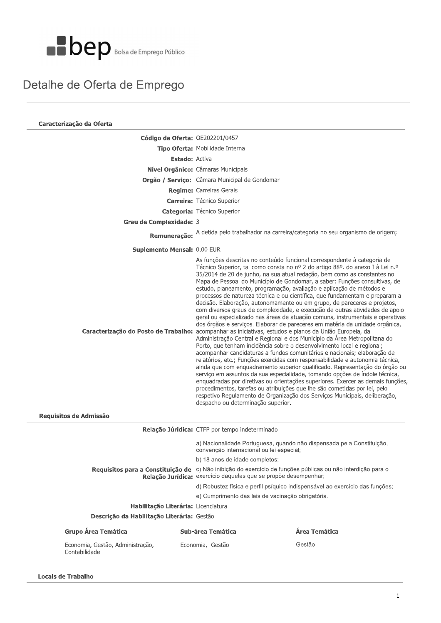

## Detalhe de Oferta de Emprego

| Caracterização da Oferta                          |                                                                                                                                                                                                                                                                                                                                                                                                                                                                                                                                                                                                                                                                                                                                                                                                                                                                                                                                                                                                                                                                                                                                                                                                                                                                                                                                                                                                                                                                                                                                                                                                                                                                                         |               |  |  |  |
|---------------------------------------------------|-----------------------------------------------------------------------------------------------------------------------------------------------------------------------------------------------------------------------------------------------------------------------------------------------------------------------------------------------------------------------------------------------------------------------------------------------------------------------------------------------------------------------------------------------------------------------------------------------------------------------------------------------------------------------------------------------------------------------------------------------------------------------------------------------------------------------------------------------------------------------------------------------------------------------------------------------------------------------------------------------------------------------------------------------------------------------------------------------------------------------------------------------------------------------------------------------------------------------------------------------------------------------------------------------------------------------------------------------------------------------------------------------------------------------------------------------------------------------------------------------------------------------------------------------------------------------------------------------------------------------------------------------------------------------------------------|---------------|--|--|--|
| <b>Código da Oferta: OE202201/0457</b>            |                                                                                                                                                                                                                                                                                                                                                                                                                                                                                                                                                                                                                                                                                                                                                                                                                                                                                                                                                                                                                                                                                                                                                                                                                                                                                                                                                                                                                                                                                                                                                                                                                                                                                         |               |  |  |  |
|                                                   | Tipo Oferta: Mobilidade Interna                                                                                                                                                                                                                                                                                                                                                                                                                                                                                                                                                                                                                                                                                                                                                                                                                                                                                                                                                                                                                                                                                                                                                                                                                                                                                                                                                                                                                                                                                                                                                                                                                                                         |               |  |  |  |
| <b>Estado: Activa</b>                             |                                                                                                                                                                                                                                                                                                                                                                                                                                                                                                                                                                                                                                                                                                                                                                                                                                                                                                                                                                                                                                                                                                                                                                                                                                                                                                                                                                                                                                                                                                                                                                                                                                                                                         |               |  |  |  |
|                                                   | Nível Orgânico: Câmaras Municipais                                                                                                                                                                                                                                                                                                                                                                                                                                                                                                                                                                                                                                                                                                                                                                                                                                                                                                                                                                                                                                                                                                                                                                                                                                                                                                                                                                                                                                                                                                                                                                                                                                                      |               |  |  |  |
|                                                   | Orgão / Serviço: Câmara Municipal de Gondomar                                                                                                                                                                                                                                                                                                                                                                                                                                                                                                                                                                                                                                                                                                                                                                                                                                                                                                                                                                                                                                                                                                                                                                                                                                                                                                                                                                                                                                                                                                                                                                                                                                           |               |  |  |  |
|                                                   | Regime: Carreiras Gerais                                                                                                                                                                                                                                                                                                                                                                                                                                                                                                                                                                                                                                                                                                                                                                                                                                                                                                                                                                                                                                                                                                                                                                                                                                                                                                                                                                                                                                                                                                                                                                                                                                                                |               |  |  |  |
|                                                   | <b>Carreira:</b> Técnico Superior                                                                                                                                                                                                                                                                                                                                                                                                                                                                                                                                                                                                                                                                                                                                                                                                                                                                                                                                                                                                                                                                                                                                                                                                                                                                                                                                                                                                                                                                                                                                                                                                                                                       |               |  |  |  |
|                                                   | <b>Categoria: Técnico Superior</b>                                                                                                                                                                                                                                                                                                                                                                                                                                                                                                                                                                                                                                                                                                                                                                                                                                                                                                                                                                                                                                                                                                                                                                                                                                                                                                                                                                                                                                                                                                                                                                                                                                                      |               |  |  |  |
| Grau de Complexidade: 3                           |                                                                                                                                                                                                                                                                                                                                                                                                                                                                                                                                                                                                                                                                                                                                                                                                                                                                                                                                                                                                                                                                                                                                                                                                                                                                                                                                                                                                                                                                                                                                                                                                                                                                                         |               |  |  |  |
|                                                   | Remuneração: A detida pelo trabalhador na carreira/categoria no seu organismo de origem;                                                                                                                                                                                                                                                                                                                                                                                                                                                                                                                                                                                                                                                                                                                                                                                                                                                                                                                                                                                                                                                                                                                                                                                                                                                                                                                                                                                                                                                                                                                                                                                                |               |  |  |  |
| Suplemento Mensal: 0.00 EUR                       |                                                                                                                                                                                                                                                                                                                                                                                                                                                                                                                                                                                                                                                                                                                                                                                                                                                                                                                                                                                                                                                                                                                                                                                                                                                                                                                                                                                                                                                                                                                                                                                                                                                                                         |               |  |  |  |
|                                                   | As funções descritas no conteúdo funcional correspondente à categoria de<br>Técnico Superior, tal como consta no nº 2 do artigo 88º. do anexo I à Lei n.º<br>35/2014 de 20 de junho, na sua atual redação, bem como as constantes no<br>Mapa de Pessoal do Município de Gondomar, a saber: Funções consultivas, de<br>estudo, planeamento, programação, avaliação e aplicação de métodos e<br>processos de natureza técnica e ou científica, que fundamentam e preparam a<br>decisão. Elaboração, autonomamente ou em grupo, de pareceres e projetos,<br>com diversos graus de complexidade, e execução de outras atividades de apoio<br>geral ou especializado nas áreas de atuação comuns, instrumentais e operativas<br>dos órgãos e serviços. Elaborar de pareceres em matéria da unidade orgânica,<br>Caracterização do Posto de Trabalho: acompanhar as iniciativas, estudos e planos da União Europeia, da<br>Administração Central e Regional e dos Município da Área Metropolitana do<br>Porto, que tenham incidência sobre o desenvolvimento local e regional;<br>acompanhar candidaturas a fundos comunitários e nacionais; elaboração de<br>relatórios, etc.; Funções exercidas com responsabilidade e autonomia técnica,<br>ainda que com enquadramento superior qualificado. Representação do órgão ou<br>serviço em assuntos da sua especialidade, tomando opções de índole técnica,<br>enquadradas por diretivas ou orientações superiores. Exercer as demais funções,<br>procedimentos, tarefas ou atribuições que lhe são cometidas por lei, pelo<br>respetivo Regulamento de Organização dos Serviços Municipais, deliberação,<br>despacho ou determinação superior. |               |  |  |  |
| Requisitos de Admissão                            |                                                                                                                                                                                                                                                                                                                                                                                                                                                                                                                                                                                                                                                                                                                                                                                                                                                                                                                                                                                                                                                                                                                                                                                                                                                                                                                                                                                                                                                                                                                                                                                                                                                                                         |               |  |  |  |
|                                                   | Relação Júridica: CTFP por tempo indeterminado                                                                                                                                                                                                                                                                                                                                                                                                                                                                                                                                                                                                                                                                                                                                                                                                                                                                                                                                                                                                                                                                                                                                                                                                                                                                                                                                                                                                                                                                                                                                                                                                                                          |               |  |  |  |
|                                                   | a) Nacionalidade Portuguesa, quando não dispensada pela Constituição,<br>convenção internacional ou lei especial;                                                                                                                                                                                                                                                                                                                                                                                                                                                                                                                                                                                                                                                                                                                                                                                                                                                                                                                                                                                                                                                                                                                                                                                                                                                                                                                                                                                                                                                                                                                                                                       |               |  |  |  |
|                                                   | b) 18 anos de idade completos;                                                                                                                                                                                                                                                                                                                                                                                                                                                                                                                                                                                                                                                                                                                                                                                                                                                                                                                                                                                                                                                                                                                                                                                                                                                                                                                                                                                                                                                                                                                                                                                                                                                          |               |  |  |  |
|                                                   | Requisitos para a Constituição de c) Não inibição do exercício de funções públicas ou não interdição para o<br>Relação Jurídica: exercício daquelas que se propõe desempenhar;                                                                                                                                                                                                                                                                                                                                                                                                                                                                                                                                                                                                                                                                                                                                                                                                                                                                                                                                                                                                                                                                                                                                                                                                                                                                                                                                                                                                                                                                                                          |               |  |  |  |
|                                                   | d) Robustez física e perfil psíquico indispensável ao exercício das funções;                                                                                                                                                                                                                                                                                                                                                                                                                                                                                                                                                                                                                                                                                                                                                                                                                                                                                                                                                                                                                                                                                                                                                                                                                                                                                                                                                                                                                                                                                                                                                                                                            |               |  |  |  |
|                                                   | e) Cumprimento das leis de vacinação obrigatória.                                                                                                                                                                                                                                                                                                                                                                                                                                                                                                                                                                                                                                                                                                                                                                                                                                                                                                                                                                                                                                                                                                                                                                                                                                                                                                                                                                                                                                                                                                                                                                                                                                       |               |  |  |  |
| Habilitação Literária: Licenciatura               |                                                                                                                                                                                                                                                                                                                                                                                                                                                                                                                                                                                                                                                                                                                                                                                                                                                                                                                                                                                                                                                                                                                                                                                                                                                                                                                                                                                                                                                                                                                                                                                                                                                                                         |               |  |  |  |
| Descrição da Habilitação Literária: Gestão        |                                                                                                                                                                                                                                                                                                                                                                                                                                                                                                                                                                                                                                                                                                                                                                                                                                                                                                                                                                                                                                                                                                                                                                                                                                                                                                                                                                                                                                                                                                                                                                                                                                                                                         |               |  |  |  |
| <b>Grupo Área Temática</b>                        | Sub-área Temática                                                                                                                                                                                                                                                                                                                                                                                                                                                                                                                                                                                                                                                                                                                                                                                                                                                                                                                                                                                                                                                                                                                                                                                                                                                                                                                                                                                                                                                                                                                                                                                                                                                                       | Área Temática |  |  |  |
| Economia, Gestão, Administração,<br>Contabilidade | Economia, Gestão                                                                                                                                                                                                                                                                                                                                                                                                                                                                                                                                                                                                                                                                                                                                                                                                                                                                                                                                                                                                                                                                                                                                                                                                                                                                                                                                                                                                                                                                                                                                                                                                                                                                        | Gestão        |  |  |  |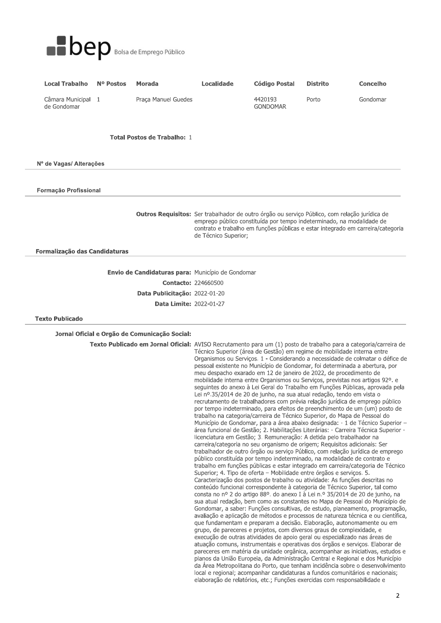

| <b>Local Trabalho</b>           | N <sup>o</sup> Postos | Morada              | Localidade | Código Postal              | <b>Distrito</b> | Concelho |
|---------------------------------|-----------------------|---------------------|------------|----------------------------|-----------------|----------|
| Câmara Municipal<br>de Gondomar |                       | Praca Manuel Guedes |            | 4420193<br><b>GONDOMAR</b> | Porto           | Gondomar |

## **Total Postos de Trabalho: 1**

Nº de Vagas/ Alterações

Formação Profissional

Outros Requisitos: Ser trabalhador de outro órgão ou serviço Público, com relação jurídica de emprego público constituída por tempo indeterminado, na modalidade de contrato e trabalho em funções públicas e estar integrado em carreira/categoria de Técnico Superior;

Formalização das Candidaturas

Envio de Candidaturas para: Município de Gondomar **Contacto: 224660500** Data Publicitação: 2022-01-20 **Data Limite: 2022-01-27** 

## **Texto Publicado**

Jornal Oficial e Orgão de Comunicação Social:

Texto Publicado em Jornal Oficial: AVISO Recrutamento para um (1) posto de trabalho para a categoria/carreira de Técnico Superior (área de Gestão) em regime de mobilidade interna entre Organismos ou Serviços. 1 - Considerando a necessidade de colmatar o défice de pessoal existente no Município de Gondomar, foi determinada a abertura, por meu despacho exarado em 12 de janeiro de 2022, de procedimento de mobilidade interna entre Organismos ou Serviços, previstas nos artigos 92º. e seguintes do anexo à Lei Geral do Trabalho em Funções Públicas, aprovada pela Lei nº.35/2014 de 20 de junho, na sua atual redação, tendo em vista o recrutamento de trabalhadores com prévia relação jurídica de emprego público por tempo indeterminado, para efeitos de preenchimento de um (um) posto de trabalho na categoria/carreira de Técnico Superior, do Mapa de Pessoal do Município de Gondomar, para a área abaixo designada: - 1 de Técnico Superior área funcional de Gestão; 2. Habilitações Literárias: - Carreira Técnica Superior licenciatura em Gestão; 3. Remuneração: A detida pelo trabalhador na carreira/categoria no seu organismo de origem; Reguisitos adicionais: Ser trabalhador de outro órgão ou serviço Público, com relação jurídica de emprego público constituída por tempo indeterminado, na modalidade de contrato e trabalho em funções públicas e estar integrado em carreira/categoria de Técnico Superior; 4. Tipo de oferta - Mobilidade entre órgãos e serviços. 5. Caracterização dos postos de trabalho ou atividade: As funções descritas no conteúdo funcional correspondente à categoria de Técnico Superior, tal como consta no nº 2 do artigo 88º. do anexo I à Lei n.º 35/2014 de 20 de junho, na sua atual redação, bem como as constantes no Mapa de Pessoal do Município de Gondomar, a saber: Funções consultivas, de estudo, planeamento, programação, avaliação e aplicação de métodos e processos de natureza técnica e ou científica, que fundamentam e preparam a decisão. Elaboração, autonomamente ou em grupo, de pareceres e projetos, com diversos graus de complexidade, e execução de outras atividades de apoio geral ou especializado nas áreas de atuação comuns, instrumentais e operativas dos órgãos e serviços. Elaborar de pareceres em matéria da unidade orgânica, acompanhar as iniciativas, estudos e planos da União Europeia, da Administração Central e Regional e dos Município da Área Metropolitana do Porto, que tenham incidência sobre o desenvolvimento local e regional; acompanhar candidaturas a fundos comunitários e nacionais; elaboração de relatórios, etc.; Funções exercidas com responsabilidade e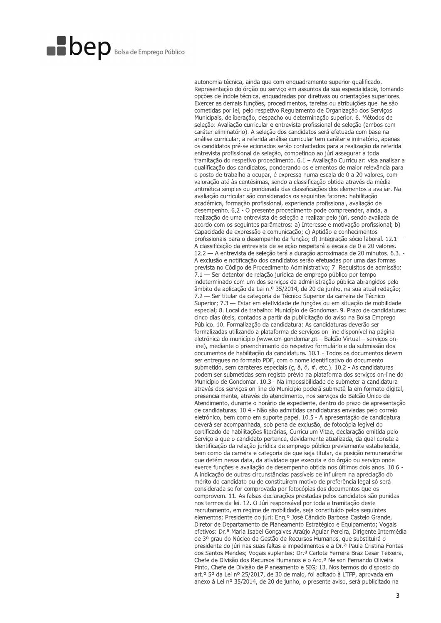## **Dep** Bolsa de Emprego Público

autonomia técnica, ainda que com enquadramento superior qualificado. Representação do órgão ou serviço em assuntos da sua especialidade, tomando opções de índole técnica, enquadradas por diretivas ou orientações superiores. Exercer as demais funções, procedimentos, tarefas ou atribuições que lhe são cometidas por lei, pelo respetivo Regulamento de Organização dos Serviços Municipais, deliberação, despacho ou determinação superior. 6. Métodos de seleção: Avaliação curricular e entrevista profissional de seleção (ambos com caráter eliminatório). A seleção dos candidatos será efetuada com base na análise curricular, a referida análise curricular tem caráter eliminatório, apenas os candidatos pré-selecionados serão contactados para a realização da referida entrevista profissional de seleção, competindo ao júri assegurar a toda tramitação do respetivo procedimento. 6.1 – Avaliação Curricular: visa analisar a qualificação dos candidatos, ponderando os elementos de maior relevância para o posto de trabalho a ocupar, é expressa numa escala de 0 a 20 valores, com valoração até às centésimas, sendo a classificação obtida através da média aritmética simples ou ponderada das classificações dos elementos a avaliar. Na avaliação curricular são considerados os seguintes fatores: habilitação académica, formação profissional, experiencia profissional, avaliação de desempenho, 6.2 - O presente procedimento pode compreender, ainda, a realização de uma entrevista de seleção a realizar pelo júri, sendo avaliada de acordo com os seguintes parâmetros: a) Interesse e motivação profissional: b) Capacidade de expressão e comunicação; c) Aptidão e conhecimentos profissionais para o desempenho da função; d) Integração sócio laboral. 12.1 -A classificação da entrevista de seleção respeitará a escala de 0 a 20 valores. 12.2 - A entrevista de seleção terá a duração aproximada de 20 minutos. 6.3. -A exclusão e notificação dos candidatos serão efetuadas por uma das formas prevista no Código de Procedimento Administrativo; 7. Requisitos de admissão: 7.1 — Ser detentor de relação jurídica de emprego público por tempo indeterminado com um dos serviços da administração pública abrangidos pelo âmbito de aplicação da Lei n.º 35/2014, de 20 de junho, na sua atual redação: 7.2 — Ser titular da categoria de Técnico Superior da carreira de Técnico Superior; 7.3 - Estar em efetividade de funções ou em situação de mobilidade especial; 8. Local de trabalho: Município de Gondomar. 9. Prazo de candidaturas: cinco dias úteis, contados a partir da publicitação do aviso na Bolsa Emprego Público. 10. Formalização da candidatura: As candidaturas deverão ser formalizadas utilizando a plataforma de serviços on-line disponível na página eletrónica do município (www.cm-gondomar.pt - Balcão Virtual - servicos online), mediante o preenchimento do respetivo formulário e da submissão dos documentos de habilitação da candidatura. 10.1 - Todos os documentos devem ser entregues no formato PDF, com o nome identificativo do documento submetido, sem carateres especiais ( $\zeta$ ,  $\tilde{a}$ ,  $\tilde{b}$ ,  $#$ , etc.). 10.2 - As candidaturas podem ser submetidas sem registo prévio na plataforma dos serviços on-line do Município de Gondomar. 10.3 - Na impossibilidade de submeter a candidatura através dos servicos on-line do Município poderá submetê-la em formato digital, presencialmente, através do atendimento, nos serviços do Balcão Único de Atendimento, durante o horário de expediente, dentro do prazo de apresentação de candidaturas. 10.4 - Não são admitidas candidaturas enviadas pelo correio eletrónico, bem como em suporte papel. 10.5 - A apresentação de candidatura deverá ser acompanhada, sob pena de exclusão, de fotocópia legível do certificado de habilitações literárias, Curriculum Vitae, declaração emitida pelo Serviço a que o candidato pertence, devidamente atualizada, da qual conste a identificação da relação jurídica de emprego público previamente estabelecida, bem como da carreira e categoria de que seja titular, da posição remuneratória que detém nessa data, da atividade que executa e do órgão ou serviço onde exerce funções e avaliação de desempenho obtida nos últimos dois anos. 10.6 -A indicação de outras circunstâncias passíveis de influírem na apreciação do mérito do candidato ou de constituírem motivo de preferência legal só será considerada se for comprovada por fotocópias dos documentos que os comprovem. 11. As falsas declarações prestadas pelos candidatos são punidas nos termos da lei. 12. O Júri responsável por toda a tramitação deste recrutamento, em regime de mobilidade, seja constituído pelos seguintes elementos: Presidente do júri: Eng.º José Cândido Barbosa Castelo Grande, Diretor de Departamento de Planeamento Estratégico e Equipamento; Vogais efetivos: Dr.ª Maria Isabel Gonçalves Araújo Aguiar Pereira, Dirigente Intermédia de 3º grau do Núcleo de Gestão de Recursos Humanos, que substituirá o presidente do júri nas suas faltas e impedimentos e a Dr.ª Paula Cristina Fontes dos Santos Mendes; Vogais suplentes: Dr.ª Carlota Ferreira Braz Cesar Teixeira, Chefe de Divisão dos Recursos Humanos e o Arg.º Nelson Fernando Oliveira Pinto, Chefe de Divisão de Planeamento e SIG; 13. Nos termos do disposto do art.º 5º da Lei nº 25/2017, de 30 de maio, foi aditado à LTFP, aprovada em anexo à Lei nº 35/2014, de 20 de junho, o presente aviso, será publicitado na